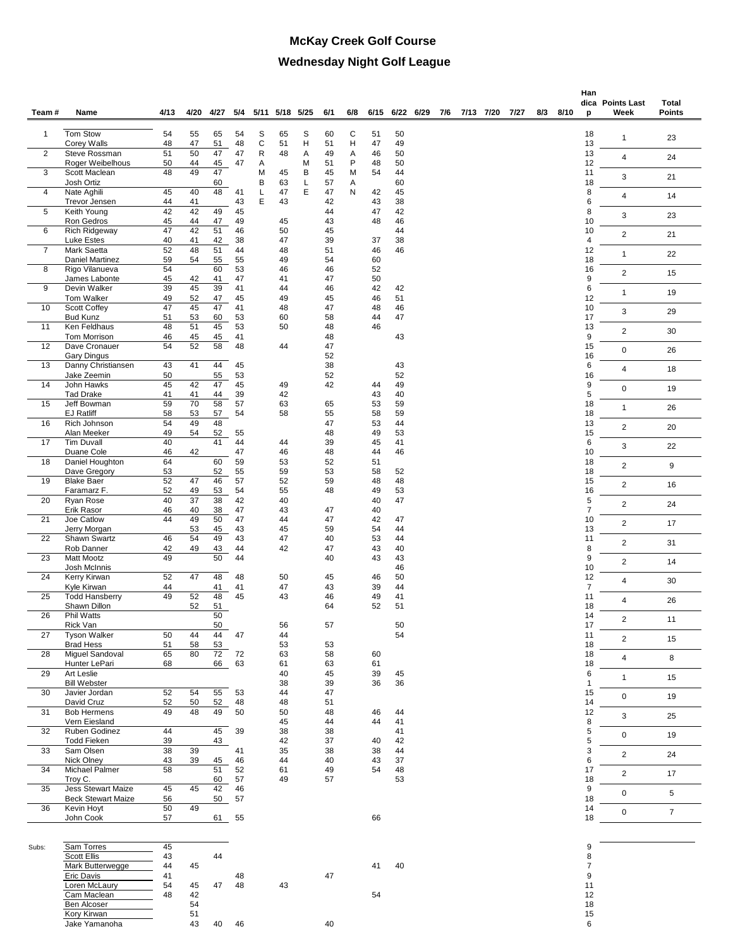## **McKay Creek Golf Course Wednesday Night Golf League**

|                |                                                        |          |          |          |          |        |           |        |          |        |          |          |           |     |                |     |      | Han                     |                          |                        |
|----------------|--------------------------------------------------------|----------|----------|----------|----------|--------|-----------|--------|----------|--------|----------|----------|-----------|-----|----------------|-----|------|-------------------------|--------------------------|------------------------|
| Team#          | Name                                                   | 4/13     | 4/20     | 4/27     | 5/4      | 5/11   | 5/18 5/25 |        | 6/1      | 6/8    | 6/15     |          | 6/22 6/29 | 7/6 | 7/13 7/20 7/27 | 8/3 | 8/10 | p                       | dica Points Last<br>Week | Total<br><b>Points</b> |
| $\mathbf{1}$   | Tom Stow                                               | 54       | 55       | 65       | 54       | S      | 65        | S      | 60       | С      | 51       | 50       |           |     |                |     |      | 18                      |                          |                        |
| 2              | Corey Walls<br>Steve Rossman                           | 48<br>51 | 47<br>50 | 51<br>47 | 48<br>47 | C<br>R | 51<br>48  | н<br>Α | 51<br>49 | Н<br>Α | 47<br>46 | 49<br>50 |           |     |                |     |      | 13<br>13                | 1                        | 23                     |
|                | Roger Weibelhous                                       | 50       | 44       | 45       | 47       | Α      |           | М      | 51       | P      | 48       | 50       |           |     |                |     |      | 12                      | 4                        | 24                     |
| 3              | Scott Maclean<br>Josh Ortiz                            | 48       | 49       | 47<br>60 |          | M<br>В | 45<br>63  | В<br>L | 45<br>57 | M<br>Α | 54       | 44<br>60 |           |     |                |     |      | 11<br>18                | 3                        | 21                     |
| 4              | Nate Aghili<br>Trevor Jensen                           | 45<br>44 | 40<br>41 | 48       | 41<br>43 | Г<br>E | 47<br>43  | Е      | 47<br>42 | Ν      | 42<br>43 | 45<br>38 |           |     |                |     |      | 8<br>6                  | 4                        | 14                     |
| 5              | Keith Young                                            | 42       | 42       | 49       | 45       |        |           |        | 44       |        | 47       | 42       |           |     |                |     |      | 8                       | 3                        | 23                     |
| 6              | Ron Gedros<br><b>Rich Ridgeway</b>                     | 45<br>47 | 44<br>42 | 47<br>51 | 49<br>46 |        | 45<br>50  |        | 43<br>45 |        | 48       | 46<br>44 |           |     |                |     |      | 10<br>10                | $\overline{c}$           | 21                     |
| $\overline{7}$ | Luke Estes<br>Mark Saetta                              | 40<br>52 | 41<br>48 | 42<br>51 | 38<br>44 |        | 47<br>48  |        | 39<br>51 |        | 37<br>46 | 38<br>46 |           |     |                |     |      | $\overline{4}$<br>12    | $\mathbf{1}$             | 22                     |
| 8              | Daniel Martinez<br>Rigo Vilanueva                      | 59<br>54 | 54       | 55<br>60 | 55<br>53 |        | 49<br>46  |        | 54<br>46 |        | 60<br>52 |          |           |     |                |     |      | 18<br>16                |                          |                        |
|                | James Labonte                                          | 45       | 42       | 41       | 47       |        | 41        |        | 47       |        | 50       |          |           |     |                |     |      | $\boldsymbol{9}$        | $\overline{2}$           | 15                     |
| 9              | Devin Walker<br>Tom Walker                             | 39<br>49 | 45<br>52 | 39<br>47 | 41<br>45 |        | 44<br>49  |        | 46<br>45 |        | 42<br>46 | 42<br>51 |           |     |                |     |      | 6<br>12                 | $\mathbf{1}$             | 19                     |
| 10             | <b>Scott Coffey</b><br><b>Bud Kunz</b>                 | 47<br>51 | 45<br>53 | 47<br>60 | 41<br>53 |        | 48<br>60  |        | 47<br>58 |        | 48<br>44 | 46<br>47 |           |     |                |     |      | 10<br>17                | 3                        | 29                     |
| 11             | Ken Feldhaus                                           | 48       | 51       | 45       | 53       |        | 50        |        | 48       |        | 46       |          |           |     |                |     |      | 13                      | $\overline{2}$           | 30                     |
| 12             | Tom Morrison<br>Dave Cronauer                          | 46<br>54 | 45<br>52 | 45<br>58 | 41<br>48 |        | 44        |        | 48<br>47 |        |          | 43       |           |     |                |     |      | $\boldsymbol{9}$<br>15  | 0                        | 26                     |
| 13             | Gary Dingus<br>Danny Christiansen                      | 43       | 41       | 44       | 45       |        |           |        | 52<br>38 |        |          | 43       |           |     |                |     |      | 16<br>6                 | 4                        | 18                     |
| 14             | Jake Zeemin<br>John Hawks                              | 50<br>45 | 42       | 55<br>47 | 53<br>45 |        | 49        |        | 52<br>42 |        | 44       | 52<br>49 |           |     |                |     |      | 16<br>9                 |                          |                        |
| 15             | <b>Tad Drake</b><br>Jeff Bowman                        | 41<br>59 | 41<br>70 | 44<br>58 | 39<br>57 |        | 42<br>63  |        | 65       |        | 43<br>53 | 40<br>59 |           |     |                |     |      | 5<br>18                 | $\mathbf 0$              | 19                     |
|                | <b>EJ Ratliff</b>                                      | 58       | 53       | 57       | 54       |        | 58        |        | 55       |        | 58       | 59       |           |     |                |     |      | 18                      | $\mathbf{1}$             | 26                     |
| 16             | Rich Johnson<br>Alan Meeker                            | 54<br>49 | 49<br>54 | 48<br>52 | 55       |        |           |        | 47<br>48 |        | 53<br>49 | 44<br>53 |           |     |                |     |      | 13<br>15                | $\overline{2}$           | 20                     |
| 17             | <b>Tim Duvall</b><br>Duane Cole                        | 40<br>46 | 42       | 41       | 44<br>47 |        | 44<br>46  |        | 39<br>48 |        | 45<br>44 | 41<br>46 |           |     |                |     |      | $\,6\,$<br>10           | 3                        | 22                     |
| 18             | Daniel Houghton<br>Dave Gregory                        | 64<br>53 |          | 60<br>52 | 59<br>55 |        | 53<br>59  |        | 52<br>53 |        | 51<br>58 | 52       |           |     |                |     |      | 18<br>18                | $\overline{2}$           | 9                      |
| 19             | <b>Blake Baer</b><br>Faramarz F.                       | 52<br>52 | 47<br>49 | 46<br>53 | 57<br>54 |        | 52<br>55  |        | 59<br>48 |        | 48<br>49 | 48<br>53 |           |     |                |     |      | 15<br>16                | $\overline{c}$           | 16                     |
| 20             | Ryan Rose<br>Erik Rasor                                | 40<br>46 | 37<br>40 | 38<br>38 | 42<br>47 |        | 40<br>43  |        | 47       |        | 40<br>40 | 47       |           |     |                |     |      | 5<br>$\overline{7}$     | $\overline{2}$           | 24                     |
| 21             | Joe Catlow                                             | 44       | 49       | 50       | 47       |        | 44        |        | 47       |        | 42       | 47       |           |     |                |     |      | 10                      | $\overline{2}$           | 17                     |
| 22             | Jerry Morgan<br>Shawn Swartz                           | 46       | 53<br>54 | 45<br>49 | 43<br>43 |        | 45<br>47  |        | 59<br>40 |        | 54<br>53 | 44<br>44 |           |     |                |     |      | 13<br>11                | $\overline{2}$           | 31                     |
| 23             | Rob Danner<br><b>Matt Mootz</b>                        | 42<br>49 | 49       | 43<br>50 | 44<br>44 |        | 42        |        | 47<br>40 |        | 43<br>43 | 40<br>43 |           |     |                |     |      | 8<br>9                  | $\overline{2}$           | 14                     |
| 24             | Josh McInnis<br>Kerry Kirwan                           | 52       | 47       | 48       | 48       |        | 50        |        | 45       |        | 46       | 46<br>50 |           |     |                |     |      | 10<br>12                |                          |                        |
| 25             | Kyle Kirwan<br><b>Todd Hansberry</b>                   | 44<br>49 | 52       | 41<br>48 | 41<br>45 |        | 47<br>43  |        | 43<br>46 |        | 39<br>49 | 44<br>41 |           |     |                |     |      | $\overline{7}$<br>11    | 4                        | 30                     |
|                | Shawn Dillon                                           |          | 52       | 51       |          |        |           |        | 64       |        | 52       | 51       |           |     |                |     |      | 18                      | $\overline{4}$           | 26                     |
| 26             | <b>Phil Watts</b><br>Rick Van                          |          |          | 50<br>50 |          |        | 56        |        | 57       |        |          | 50       |           |     |                |     |      | 14<br>17                | $\overline{2}$           | 11                     |
| 27             | <b>Tyson Walker</b><br><b>Brad Hess</b>                | 50<br>51 | 44<br>58 | 44<br>53 | 47       |        | 44<br>53  |        | 53       |        |          | 54       |           |     |                |     |      | 11<br>18                | $\overline{c}$           | 15                     |
| 28             | Miquel Sandoval<br>Hunter LePari                       | 65<br>68 | 80       | 72<br>66 | 72<br>63 |        | 63<br>61  |        | 58<br>63 |        | 60<br>61 |          |           |     |                |     |      | 18<br>18                | $\overline{\mathbf{4}}$  | 8                      |
| 29             | Art Leslie                                             |          |          |          |          |        | 40        |        | 45       |        | 39       | 45       |           |     |                |     |      | $\,6\,$<br>$\mathbf{1}$ | $\mathbf{1}$             | 15                     |
| 30             | <b>Bill Webster</b><br>Javier Jordan                   | 52       | 54       | 55       | 53       |        | 38<br>44  |        | 39<br>47 |        | 36       | 36       |           |     |                |     |      | 15                      | $\mathbf 0$              | 19                     |
| 31             | David Cruz<br><b>Bob Hermens</b>                       | 52<br>49 | 50<br>48 | 52<br>49 | 48<br>50 |        | 48<br>50  |        | 51<br>48 |        | 46       | 44       |           |     |                |     |      | 14<br>12                | 3                        | 25                     |
| 32             | Vern Eiesland<br>Ruben Godinez                         | 44       |          | 45       | 39       |        | 45<br>38  |        | 44<br>38 |        | 44       | 41<br>41 |           |     |                |     |      | $\bf 8$<br>$\mathbf 5$  |                          |                        |
| 33             | <b>Todd Fieken</b><br>Sam Olsen                        | 39<br>38 | 39       | 43       | 41       |        | 42<br>35  |        | 37<br>38 |        | 40<br>38 | 42<br>44 |           |     |                |     |      | 5<br>3                  | 0                        | 19                     |
|                | Nick Olney                                             | 43       | 39       | 45       | 46       |        | 44        |        | 40       |        | 43       | 37       |           |     |                |     |      | $\,6\,$                 | $\overline{2}$           | 24                     |
| 34             | Michael Palmer<br>Troy C.                              | 58       |          | 51<br>60 | 52<br>57 |        | 61<br>49  |        | 49<br>57 |        | 54       | 48<br>53 |           |     |                |     |      | 17<br>18                | $\overline{2}$           | 17                     |
| 35             | <b>Jess Stewart Maize</b><br><b>Beck Stewart Maize</b> | 45<br>56 | 45       | 42<br>50 | 46<br>57 |        |           |        |          |        |          |          |           |     |                |     |      | $\boldsymbol{9}$<br>18  | 0                        | 5                      |
| 36             | Kevin Hoyt<br>John Cook                                | 50<br>57 | 49       | 61       | 55       |        |           |        |          |        | 66       |          |           |     |                |     |      | 14<br>18                | 0                        | $\overline{7}$         |
|                |                                                        |          |          |          |          |        |           |        |          |        |          |          |           |     |                |     |      |                         |                          |                        |
| Subs:          | Sam Torres<br><b>Scott Ellis</b>                       | 45<br>43 |          | 44       |          |        |           |        |          |        |          |          |           |     |                |     |      | 9<br>8                  |                          |                        |
|                | Mark Butterwegge                                       | 44       | 45       |          |          |        |           |        |          |        | 41       | 40       |           |     |                |     |      | 7                       |                          |                        |
|                | Eric Davis<br>Loren McLaury                            | 41<br>54 | 45       | 47       | 48<br>48 |        | 43        |        | 47       |        |          |          |           |     |                |     |      | 9<br>11                 |                          |                        |
|                | Cam Maclean                                            | 48       | 42       |          |          |        |           |        |          |        | 54       |          |           |     |                |     |      | 12                      |                          |                        |
|                | Ben Alcoser                                            |          | 54       |          |          |        |           |        |          |        |          |          |           |     |                |     |      | 18                      |                          |                        |
|                | Kory Kirwan<br>Jake Yamanoha                           |          | 51<br>43 | 40       | 46       |        |           |        | 40       |        |          |          |           |     |                |     |      | 15<br>6                 |                          |                        |
|                |                                                        |          |          |          |          |        |           |        |          |        |          |          |           |     |                |     |      |                         |                          |                        |